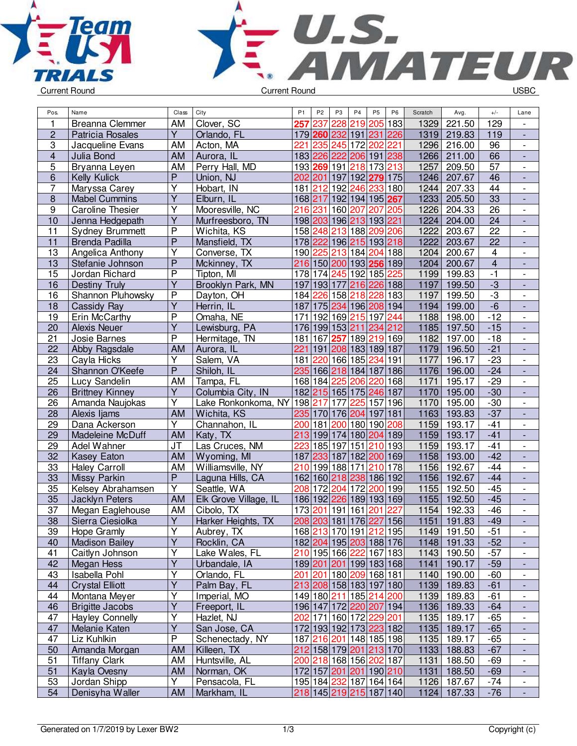



| Pos.<br>Name<br>Class<br>City                                            | P <sub>1</sub> | P <sub>2</sub> | P <sub>3</sub> | P <sub>4</sub>                                     | P <sub>5</sub>        | P <sub>6</sub> | Scratch      | Avg.                       | $+/-$                   | Lane                                                 |
|--------------------------------------------------------------------------|----------------|----------------|----------------|----------------------------------------------------|-----------------------|----------------|--------------|----------------------------|-------------------------|------------------------------------------------------|
| 1<br>Clover, SC<br>Breanna Clemmer<br>AM<br>257                          |                | 237            | 228            | 219 205 183                                        |                       |                | 1329         | 221.50                     | 129                     | $\overline{\phantom{a}}$                             |
| $\overline{Y}$<br>$\overline{2}$<br>Orlando, FL<br>Patricia Rosales      |                |                |                | 179 260 232 191 231                                |                       | 226            | 1319         | 219.83                     | 119                     | $\overline{a}$                                       |
| $\sqrt{3}$<br>221<br>Jacqueline Evans<br>AM<br>Acton, MA                 |                | 235            |                | 245 172 202                                        |                       | 221            | 1296         | 216.00                     | 96                      | $\overline{\phantom{a}}$                             |
| $\overline{\mathbf{4}}$<br>Julia Bond<br><b>AM</b><br>Aurora, IL         |                |                | 183 226 222    | 206 191 238                                        |                       |                | 1266         | 211.00                     | 66                      | $\blacksquare$                                       |
| 5<br>AM<br>Perry Hall, MD<br>Bryanna Leyen                               |                |                | 193 269 191    | 218 173 213                                        |                       |                | 1257         | 209.50                     | 57                      | $\blacksquare$                                       |
| $\overline{P}$<br>6<br>Kelly Kulick<br>Union, NJ                         |                |                |                | 202 201 197 192 279 175                            |                       |                | 1246         | 207.67                     | 46                      | $\overline{\phantom{a}}$                             |
| Υ<br>7<br>181<br>Hobart, IN<br>Maryssa Carey                             |                | 212            |                | 192 246 233 180                                    |                       |                | 1244         | 207.33                     | 44                      | $\overline{\phantom{a}}$                             |
| Y<br>$\boldsymbol{8}$<br><b>Mabel Cummins</b><br>Elburn, IL              |                | 168 217        |                | 192 194 195 267                                    |                       |                | 1233         | 205.50                     | 33                      | $\overline{\phantom{a}}$                             |
| $\overline{9}$<br>Υ<br><b>Caroline Thesier</b><br>Mooresville, NC<br>216 |                | 231            | 160            | 207                                                | 207                   | 205            | 1226         | 204.33                     | $\overline{26}$         | $\overline{\phantom{a}}$                             |
| $\overline{Y}$<br>10<br>Jenna Hedgepath<br>Murfreesboro, TN              |                | 198 203        |                | 196 213 193 221                                    |                       |                | 1224         | 204.00                     | 24                      |                                                      |
| $\overline{P}$<br>11<br>Sydney Brummett<br>Wichita, KS                   |                | 158 248        | 213            | 188 209 206                                        |                       |                | 1222         | 203.67                     | $\overline{22}$         | $\overline{\phantom{a}}$                             |
| $\overline{\mathsf{P}}$<br>11<br>Mansfield, TX<br><b>Brenda Padilla</b>  |                |                |                | 178 222 196 215 193 218                            |                       |                | 1222         | 203.67                     | $\overline{22}$         |                                                      |
| Υ<br>13<br>Angelica Anthony<br>Converse, TX                              |                | 190 225        |                | 213 184 204 188                                    |                       |                | 1204         | 200.67                     | $\overline{\mathbf{4}}$ | $\overline{\phantom{a}}$                             |
| $\overline{P}$<br>13<br>Stefanie Johnson<br>Mckinney, TX                 | 216            |                |                | 150 200 193 256 189                                |                       |                | 1204         | 200.67                     | $\overline{4}$          | $\blacksquare$                                       |
| P<br>15<br>Tipton, MI<br>Jordan Richard                                  |                |                |                | 178 174 245 192 185                                |                       | 225            | 1199         | 199.83                     | $-1$                    | $\overline{\phantom{a}}$                             |
| Ÿ<br>Brooklyn Park, MN<br>197<br>16<br>Destiny Truly                     |                |                | 193 177        | 216 226 188                                        |                       |                | 1197         | 199.50                     | $-3$                    | $\overline{\phantom{a}}$                             |
| Shannon Pluhowsky<br>P<br>16<br>Dayton, OH                               |                | 184 226        |                | 158 218 228 183                                    |                       |                | 1197         | 199.50                     | $-3$                    | $\overline{\phantom{a}}$                             |
| $\overline{Y}$<br>18<br>187<br>Herrin, IL<br>Cassidy Ray                 |                |                |                | 175 234 196 208 194                                |                       |                | 1194         | 199.00                     | $-\overline{6}$         | $\overline{\phantom{a}}$                             |
| $\overline{P}$<br>19<br>Omaha, NE<br>Erin McCarthy<br>171                |                |                |                | 192 169 215 197 244                                |                       |                | 1188         | 198.00                     | $-12$                   | $\overline{\phantom{a}}$                             |
| $\overline{\mathsf{Y}}$<br>20<br><b>Alexis Neuer</b><br>Lewisburg, PA    |                |                |                | 176 199 153 211 234 212                            |                       |                | 1185         | 197.50                     | $-15$                   | $\overline{\phantom{a}}$                             |
| $\overline{P}$<br>21<br>Josie Barnes<br>Hermitage, TN                    | 181            | 167            | 257            | 189 219 169                                        |                       |                | 1182         | 197.00                     | $-18$                   | $\overline{\phantom{a}}$                             |
| 221<br>22<br><b>AM</b><br>Abby Ragsdale<br>Aurora, IL                    |                | 191            |                | 208 183 189 187                                    |                       |                | 1179         | 196.50                     | $-21$                   |                                                      |
| Y<br>23<br>Salem, VA<br>181<br>Cayla Hicks                               |                |                |                | 220 166 185 234 191                                |                       |                | 1177         | 196.17                     | $-23$                   | $\overline{\phantom{a}}$                             |
| $\overline{P}$<br>24<br>Shannon O'Keefe<br>Shiloh, IL                    | 235            |                |                | 166 218 184 187 186                                |                       |                | 1176         | 196.00                     | $-24$                   | $\overline{\phantom{a}}$                             |
| 25<br>Lucy Sandelin<br>AM<br>Tampa, FL                                   |                | 168 184        | 225            | 206                                                | 220                   | 168            | 1171         | 195.17                     | $-29$                   | $\overline{\phantom{a}}$                             |
| Y<br>26<br><b>Brittney Kinney</b><br>Columbia City, IN                   |                |                |                | 182 215 165 175 246 187                            |                       |                | 1170         | 195.00                     | $-30$                   | $\overline{\phantom{a}}$                             |
| 26<br>Υ<br>Amanda Naujokas<br>Lake Ronkonkoma, NY                        |                | 198 217        | 177            | 225                                                | $\overline{157}$  196 |                | 1170         | 195.00                     | $-30$                   | $\qquad \qquad \blacksquare$                         |
| 28<br>AM<br>Wichita, KS<br>Alexis Ijams                                  |                |                | 235 170 176    | 204                                                | 197 181               |                | 1163         | 193.83                     | $-37$                   | $\overline{\phantom{a}}$                             |
| 29<br>Υ<br>Dana Ackerson<br>Channahon, IL<br>200                         |                | 181            | 200            | 180 190 208                                        |                       |                | 1159         | 193.17                     | $-41$                   | $\overline{\phantom{a}}$                             |
| 29<br>Madeleine McDuff<br><b>AM</b><br>Katy, TX                          | 213            |                |                | 199 174 180 204 189                                |                       |                | 1159         | 193.17                     | $-41$                   |                                                      |
| 29<br>JT<br>Las Cruces, NM<br>223<br>Adel Wahner                         |                |                | 185 197        | 151 210 193                                        |                       |                | 1159         | 193.17                     | $-41$                   | $\blacksquare$                                       |
| 32<br><b>AM</b><br>Kasey Eaton<br>Wyoming, MI<br>187                     |                | 233            | 187            | 182 200 169                                        |                       |                | 1158         | 193.00                     | $-42$                   | $\overline{a}$                                       |
| 33<br>Williamsville, NY<br><b>Haley Carroll</b><br>AM<br>210             |                |                |                | 199 188 171 210 178                                |                       |                | 1156         | 192.67                     | $-44$                   | $\blacksquare$                                       |
| P<br>33<br>Laguna Hills, CA<br>Missy Parkin                              |                |                |                | 162 160 218 238 186 192                            |                       |                | 1156         | 192.67                     | $-44$                   | ÷,                                                   |
| $\overline{\mathsf{Y}}$<br>35<br>208<br>Kelsey Abrahamsen<br>Seattle, WA |                | 172            | 204            | 172                                                | 200                   | 199            | 1155         | 192.50                     | $-45$                   | $\overline{\phantom{a}}$                             |
| 35<br>Jacklyn Peters<br><b>AM</b><br>Elk Grove Village, IL               |                |                | 186 192 226    | 189 193 169                                        |                       |                | 1155         | 192.50                     | $-45$                   | $\overline{\phantom{a}}$                             |
| 37<br>173<br>Megan Eaglehouse<br>AM<br>Cibolo, TX<br>$\overline{Y}$      |                | 201            | 191            | 161                                                | 201                   | 227            | 1154<br>1151 | 192.33                     | $-46$                   | $\overline{\phantom{a}}$                             |
| $\overline{38}$<br>Sierra Ciesiolka<br>Harker Heights, TX                |                |                |                | 208 203 181 176 227 156                            |                       |                |              | 191.83                     | $-49$                   |                                                      |
| <u>39</u><br>Hope Gramly<br>Y<br>Aubrey, TX<br>Y                         |                |                |                | 168 213 170 191 212 195                            |                       |                |              | 1149   191.50              | -51                     | $\overline{\phantom{a}}$                             |
| 40<br><b>Madison Bailey</b><br>Rocklin, CA<br>Υ<br>41<br>Lake Wales, FL  |                |                |                | 182 204 195 203 188 176<br>210 195 166 222 167 183 |                       |                |              | 1148 191.33<br>1143 190.50 | $-52$<br>$-57$          |                                                      |
| Caitlyn Johnson<br>$\overline{Y}$<br>42                                  |                |                |                | 189 201 201 199 183 168                            |                       |                |              |                            | $-59$                   | $\overline{\phantom{a}}$                             |
| Urbandale, IA<br>Megan Hess<br>Υ<br>43<br>Isabella Pohl<br>Orlando, FL   |                |                |                | 201 201 180  <mark>209</mark>  168 181             |                       |                | 1141<br>1140 | 190.17<br>190.00           | $-60$                   | $\blacksquare$                                       |
| Y<br><b>Crystal Elliott</b><br>44                                        |                |                |                | 213 208 158 183 197 180                            |                       |                |              |                            | $-61$                   |                                                      |
| Palm Bay, FL<br>Υ<br>44<br>Montana Meyer<br>Imperial, MO                 |                |                |                | 149 180 211 185 214 200                            |                       |                |              | 1139 189.83<br>1139 189.83 | $-61$                   | $\overline{\phantom{a}}$<br>$\overline{\phantom{a}}$ |
| Υ<br><b>Brigitte Jacobs</b><br>46<br>Freeport, IL                        |                |                |                | 196 147 172 220 207 194                            |                       |                |              | 1136 189.33                | $-64$                   | $\overline{\phantom{a}}$                             |
| Υ<br>Hazlet, NJ<br>47<br><b>Hayley Connelly</b>                          |                |                |                | 202 171 160 172 229 201                            |                       |                | 1135         | 189.17                     | $-65$                   | $\qquad \qquad \blacksquare$                         |
| $\overline{Y}$<br>47<br>San Jose, CA<br>Melanie Katen                    |                |                |                | 172 193 192 173 223 182                            |                       |                |              | 1135 189.17                | $-65$                   | ٠                                                    |
| P<br>47<br>Liz Kuhlkin<br>Schenectady, NY                                |                |                |                | 187 216 201 148 185 198                            |                       |                | 1135         | 189.17                     | $-65$                   | $\overline{\phantom{a}}$                             |
| 50<br>Amanda Morgan<br>Killeen, TX<br><b>AM</b>                          |                |                |                | 212 158 179 201 213 170                            |                       |                |              | 1133 188.83                | $-67$                   | $\overline{\phantom{0}}$                             |
| 51<br>AM<br>Huntsville, AL<br><b>Tiffany Clark</b>                       |                |                |                | 200 218 168 156 202 187                            |                       |                | 1131         | 188.50                     | $-69$                   | $\overline{\phantom{a}}$                             |
| 51<br>Kayla Ovesny<br>AM<br>Norman, OK                                   |                |                |                | 172 157 201 201 190 210                            |                       |                | 1131         | 188.50                     | $-69$                   |                                                      |
| Y<br>53<br>Jordan Shipp<br>Pensacola, FL                                 |                |                |                | 195 184 232 187 164 164                            |                       |                | 1126         | 187.67                     | $-74$                   | $\overline{\phantom{a}}$                             |
| 54<br>AM<br>Denisyha Waller<br>Markham, IL                               |                |                |                | 218 145 219 215 187 140                            |                       |                |              | 1124 187.33                | $-76$                   | ÷,                                                   |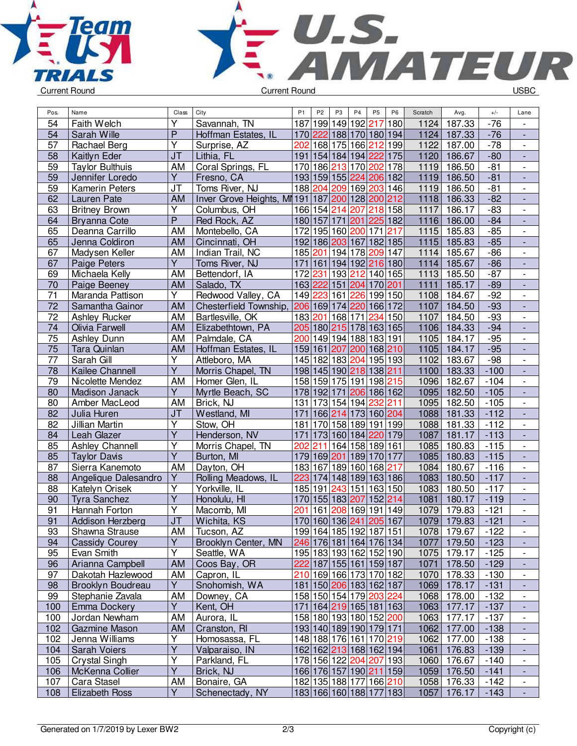



| Pos.            | Name                   | Class                   | City                            | P <sub>1</sub> | P <sub>2</sub> | P <sub>3</sub>  | P <sub>4</sub>          | P <sub>5</sub> | P <sub>6</sub> | Scratch           | Avg.          | $+/-$  | Lane                         |
|-----------------|------------------------|-------------------------|---------------------------------|----------------|----------------|-----------------|-------------------------|----------------|----------------|-------------------|---------------|--------|------------------------------|
| 54              | Faith Welch            | Υ                       | Savannah, TN                    | 187            | 199            |                 | 149 192 217             |                | 180            | 1124              | 187.33        | $-76$  |                              |
| 54              | Sarah Wille            | P                       | Hoffman Estates, IL             |                | 170 222        |                 | 188 170 180 194         |                |                | 1124              | 187.33        | $-76$  | ÷,                           |
| 57              | Rachael Berg           | Υ                       | Surprise, AZ                    | 202            |                |                 | 168 175 166             | 212            | 199            | 1122              | 187.00        | $-78$  | $\overline{\phantom{a}}$     |
| 58              | Kaitlyn Eder           | J <sub>T</sub>          | Lithia, FL                      |                |                |                 | 191 154 184 194 222     |                | 175            | 1120              | 186.67        | $-80$  | $\Box$                       |
| 59              | <b>Taylor Bulthuis</b> | AM                      | Coral Springs, FL               |                | 170 186        |                 | 213 170                 | 202            | 178            | 1119              | 186.50        | $-81$  | $\overline{\phantom{a}}$     |
| 59              | Jennifer Loredo        | Υ                       | Fresno, CA                      |                |                |                 | 193 159 155 224 206 182 |                |                | 1119              | 186.50        | $-81$  | $\overline{\phantom{a}}$     |
| 59              | <b>Kamerin Peters</b>  | JT                      | Toms River, NJ                  |                | 188 204        |                 | 209 169 203 146         |                |                | 1119              | 186.50        | $-81$  | $\overline{\phantom{a}}$     |
| 62              | Lauren Pate            | <b>AM</b>               | Inver Grove Heights, MI 191 187 |                |                |                 | 200 128 200 212         |                |                | 1118              | 186.33        | $-82$  | $\overline{\phantom{a}}$     |
| 63              | <b>Britney Brown</b>   | Υ                       | Columbus, OH                    |                |                | 166 154 214     | 207                     | 218            | 158            | $111\overline{7}$ | 186.17        | $-83$  | $\overline{\phantom{a}}$     |
| 64              | <b>Bryanna Cote</b>    | P                       | Red Rock, AZ                    |                | 180 157        | 171             | 201                     | 225 182        |                | 1116              | 186.00        | $-84$  |                              |
| 65              | Deanna Carrillo        | AM                      | Montebello, CA                  |                |                |                 | 172 195 160 200         | 171            | 217            | 1115              | 185.83        | $-85$  | $\overline{\phantom{a}}$     |
| 65              | Jenna Coldiron         | <b>AM</b>               | Cincinnati, OH                  |                |                |                 | 192 186 203 167 182 185 |                |                | 1115              | 185.83        | $-85$  | ÷,                           |
| 67              | Madysen Keller         | AM                      | Indian Trail, NC                |                |                |                 | 185 201 194 178         | 209 147        |                | 1114              | 185.67        | $-86$  | $\frac{1}{2}$                |
| 67              | Paige Peters           | $\overline{Y}$          | Toms River, NJ                  | 171            |                |                 | 161 194 192 216 180     |                |                | 1114              | 185.67        | $-86$  | ÷,                           |
| 69              | Michaela Kelly         | AM                      | Bettendorf, IA                  |                | 172 231        |                 | 193 212 140 165         |                |                | 1113              | 185.50        | $-87$  | $\overline{\phantom{a}}$     |
| 70              | Paige Beeney           | <b>AM</b>               | Salado, TX                      |                |                |                 | 163 222 151 204 170 201 |                |                | 1111              | 185.17        | $-89$  | $\overline{a}$               |
| 71              | Maranda Pattison       | Υ                       | Redwood Valley, CA              |                | 149 223        | 161             | 226                     | 199 150        |                | 1108              | 184.67        | $-92$  | $\qquad \qquad \blacksquare$ |
| $\overline{72}$ | Samantha Gainor        | <b>AM</b>               | Chesterfield Township,          |                |                |                 | 206 169 174 220 166 172 |                |                | 1107              | 184.50        | $-93$  | $\overline{\phantom{a}}$     |
| 72              | Ashley Rucker          | AM                      | Bartlesville, OK                |                |                |                 | 183 201 168 171         | 234            | 150            | 1107              | 184.50        | $-93$  | $\overline{\phantom{a}}$     |
| 74              | Olivia Farwell         | <b>AM</b>               | Elizabethtown, PA               |                |                |                 | 205 180 215 178 163 165 |                |                | 1106              | 184.33        | $-94$  | $\blacksquare$               |
| 75              | Ashley Dunn            | AM                      | Palmdale, CA                    |                |                |                 | 200 149 194 188 183 191 |                |                | 1105              | 184.17        | $-95$  | $\frac{1}{2}$                |
| 75              | Tara Quinlan           | <b>AM</b>               | Hoffman Estates, IL             |                |                | 159 161 207     | 200 168 210             |                |                | 1105              | 184.17        | $-95$  |                              |
| $\overline{77}$ | Sarah Gill             | Y                       | Attleboro, MA                   |                |                |                 | 145 182 183 204 195 193 |                |                | 1102              | 183.67        | $-98$  | $\blacksquare$               |
| 78              | Kailee Channell        | $\overline{Y}$          | Morris Chapel, TN               |                |                |                 | 198 145 190 218 138 211 |                |                | 1100              | 183.33        | $-100$ | ÷,                           |
| 79              | Nicolette Mendez       | AM                      | Homer Glen, IL                  |                |                |                 | 158 159 175 191         | 198 215        |                | 1096              | 182.67        | $-104$ | $\frac{1}{2}$                |
| 80              | Madison Janack         | Ÿ                       | Myrtle Beach, SC                |                | 178 192 171    |                 | 206                     | 186 162        |                | 1095              | 182.50        | $-105$ | $\frac{1}{2}$                |
| 80              | Amber MacLeod          | AM                      | Brick, NJ                       | 131            |                |                 | 173 154 194             | 232            | 211            | 1095              | 182.50        | $-105$ | $\qquad \qquad \blacksquare$ |
| 82              | Julia Huren            | <b>JT</b>               | Westland, MI                    | 171            |                |                 | 166 214 173             | 160 204        |                | 1088              | 181.33        | $-112$ |                              |
| 82              | Jillian Martin         | Y                       | Stow, OH                        | 181            |                |                 | 170 158 189 191 199     |                |                | 1088              | 181.33        | $-112$ |                              |
| 84              | Leah Glazer            | $\overline{\mathsf{Y}}$ | Henderson, NV                   | 171            |                |                 | 173 160 184 220 179     |                |                | 1087              | 181.17        | $-113$ | $\blacksquare$               |
| 85              | Ashley Channell        | Ÿ                       | Morris Chapel, TN               | 202            | 211            |                 | 164 158 189 161         |                |                | 1085              | 180.83        | $-115$ | $\frac{1}{2}$                |
| 85              | <b>Taylor Davis</b>    | $\overline{\mathsf{Y}}$ | Burton, MI                      |                | 179 169 201    |                 | 189                     | 170 177        |                | 1085              | 180.83        | $-115$ |                              |
| 87              | Sierra Kanemoto        | <b>AM</b>               | Dayton, OH                      |                | 183 167        |                 | 189 160 168 217         |                |                | 1084              | 180.67        | $-116$ | $\frac{1}{2}$                |
| 88              | Angelique Dalesandro   | Y                       | Rolling Meadows, IL             | 223            |                |                 | 174 148 189 163 186     |                |                | 1083              | 180.50        | $-117$ | ÷.                           |
| 88              | Katelyn Orisek         | $\overline{\mathsf{Y}}$ | Yorkville, IL                   |                | 185 191        | 243             | 151                     |                | 163 150        | 1083              | 180.50        | $-117$ | $\frac{1}{2}$                |
| 90              | <b>Tyra Sanchez</b>    | Υ                       | Honolulu, HI                    |                |                | 170 155 183 207 |                         | 152            | 214            | 1081              | 180.17        | $-119$ | $\frac{1}{2}$                |
| 91              | Hannah Forton          | Υ                       | Macomb, MI                      | 201            | 161            | 208             | 169                     | 191            | 149            | 1079              | 179.83        | $-121$ |                              |
| $\overline{91}$ | Addison Herzberg       | J <sub>T</sub>          | Wichita, KS                     |                |                |                 | 170 160 136 241 205 167 |                |                | 1079              | 179.83        | $-121$ |                              |
| 93              | Shawna Strause         | AM                      | Tucson, AZ                      |                |                |                 | 199 164 185 192 187 151 |                |                |                   | 1078   179.67 | -122   | $\overline{\phantom{a}}$     |
| 94              | <b>Cassidy Courey</b>  | Υ                       | Brooklyn Center, MN             |                |                |                 | 246 176 181 164 176 134 |                |                | 1077              | 179.50        | $-123$ |                              |
| 95              | Evan Smith             | Y                       | Seattle, WA                     |                |                |                 | 195 183 193 162 152 190 |                |                | 1075              | 179.17        | $-125$ |                              |
| 96              | Arianna Campbell       | <b>AM</b>               | Coos Bay, OR                    |                |                |                 | 222 187 155 161 159 187 |                |                | 1071              | 178.50        | $-129$ |                              |
| 97              | Dakotah Hazlewood      | AM                      | Capron, IL                      |                |                |                 | 210 169 166 173 170 182 |                |                | 1070              | 178.33        | $-130$ | $\overline{\phantom{a}}$     |
| 98              | Brooklyn Boudreau      | Y                       | Snohomish, WA                   |                |                |                 | 181 150 206 183 162 187 |                |                | 1069              | 178.17        | $-131$ | $\blacksquare$               |
| 99              | Stephanie Zavala       | AM                      | Downey, CA                      |                |                |                 | 158 150 154 179 203 224 |                |                | 1068              | 178.00        | $-132$ | $\overline{\phantom{a}}$     |
| 100             | Emma Dockery           | Y.                      | Kent, OH                        |                |                |                 | 171 164 219 165 181 163 |                |                | 1063              | 177.17        | $-137$ | $\overline{\phantom{a}}$     |
| 100             | Jordan Newham          | AM                      | Aurora, IL                      |                |                |                 | 158 180 193 180 152 200 |                |                | 1063              | 177.17        | $-137$ | $\qquad \qquad \blacksquare$ |
| 102             | Gazmine Mason          | <b>AM</b>               | Cranston, RI                    |                |                |                 | 193 140 189 190 179 171 |                |                | 1062              | 177.00        | $-138$ | $\blacksquare$               |
| 102             | Jenna Williams         | Υ                       | Homosassa, FL                   |                |                |                 | 148 188 176 161 170 219 |                |                | 1062              | 177.00        | $-138$ |                              |
| 104             | Sarah Voiers           | Υ                       | Valparaiso, IN                  |                |                |                 | 162 162 213 168 162 194 |                |                | 1061              | 176.83        | $-139$ |                              |
| 105             | Crystal Singh          | Υ                       | Parkland, FL                    |                |                |                 | 178 156 122 204 207 193 |                |                | 1060              | 176.67        | $-140$ | $\overline{\phantom{a}}$     |
| 106             | McKenna Collier        | Υ                       | Brick, NJ                       |                |                |                 | 166 176 157 190 211 159 |                |                | 1059              | 176.50        | $-141$ |                              |
| 107             | Cara Stasel            | AM                      | Bonaire, GA                     |                |                |                 | 182 135 188 177 166 210 |                |                | 1058              | 176.33        | $-142$ | $\overline{\phantom{a}}$     |
| 108             | <b>Elizabeth Ross</b>  | Y                       | Schenectady, NY                 |                |                |                 | 183 166 160 188 177 183 |                |                | 1057              | 176.17        | $-143$ | ÷,                           |